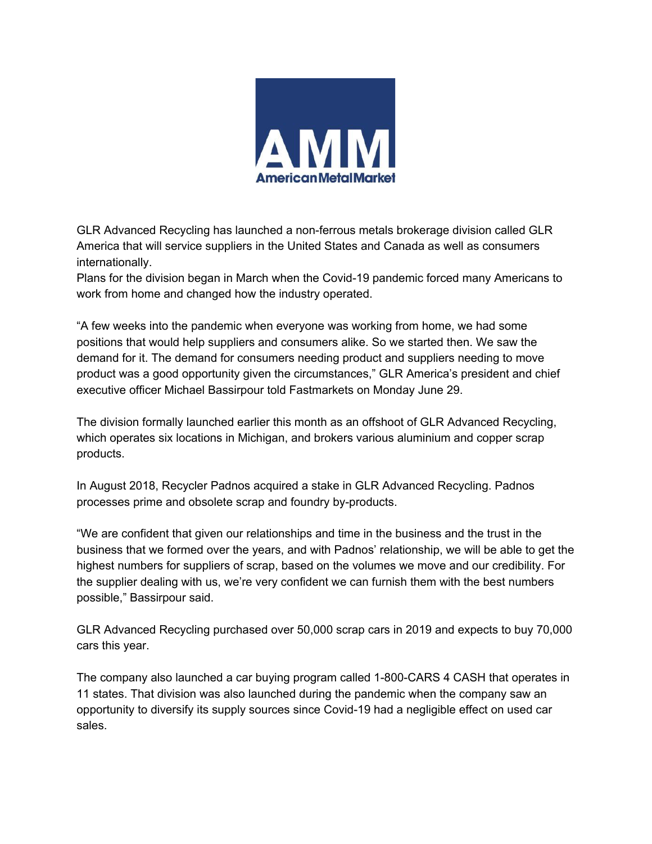

GLR Advanced Recycling has launched a non-ferrous metals brokerage division called GLR America that will service suppliers in the United States and Canada as well as consumers internationally.

Plans for the division began in March when the Covid-19 pandemic forced many Americans to work from home and changed how the industry operated.

"A few weeks into the pandemic when everyone was working from home, we had some positions that would help suppliers and consumers alike. So we started then. We saw the demand for it. The demand for consumers needing product and suppliers needing to move product was a good opportunity given the circumstances," GLR America's president and chief executive officer Michael Bassirpour told Fastmarkets on Monday June 29.

The division formally launched earlier this month as an offshoot of GLR Advanced Recycling, which operates six locations in Michigan, and brokers various aluminium and copper scrap products.

In August 2018, Recycler Padnos acquired a stake in GLR Advanced Recycling. Padnos processes prime and obsolete scrap and foundry by-products.

"We are confident that given our relationships and time in the business and the trust in the business that we formed over the years, and with Padnos' relationship, we will be able to get the highest numbers for suppliers of scrap, based on the volumes we move and our credibility. For the supplier dealing with us, we're very confident we can furnish them with the best numbers possible," Bassirpour said.

GLR Advanced Recycling purchased over 50,000 scrap cars in 2019 and expects to buy 70,000 cars this year.

The company also launched a car buying program called 1-800-CARS 4 CASH that operates in 11 states. That division was also launched during the pandemic when the company saw an opportunity to diversify its supply sources since Covid-19 had a negligible effect on used car sales.